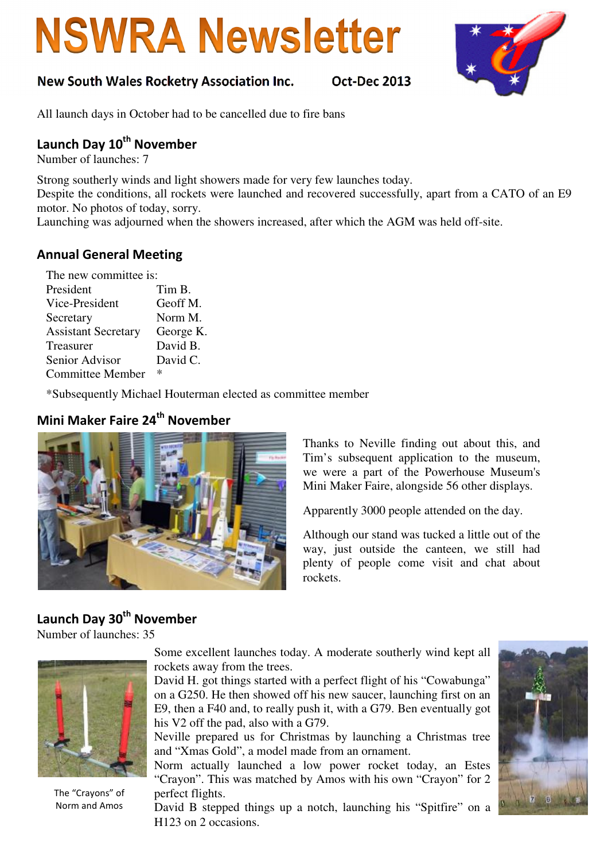# **NSWRA Newsletter**

### New South Wales Rocketry Association Inc. Oct-Dec 2013



All launch days in October had to be cancelled due to fire bans

# Launch Day 10<sup>th</sup> November

Number of launches: 7

Strong southerly winds and light showers made for very few launches today. Despite the conditions, all rockets were launched and recovered successfully, apart from a CATO of an E9 motor. No photos of today, sorry.

Launching was adjourned when the showers increased, after which the AGM was held off-site.

#### Annual General Meeting

| The new committee is:      |           |
|----------------------------|-----------|
| President                  | Tim B.    |
| Vice-President             | Geoff M.  |
| Secretary                  | Norm M.   |
| <b>Assistant Secretary</b> | George K. |
| Treasurer                  | David B.  |
| Senior Advisor             | David C.  |
| <b>Committee Member</b>    | ∗         |

\*Subsequently Michael Houterman elected as committee member

## Mini Maker Faire 24<sup>th</sup> November



Thanks to Neville finding out about this, and Tim's subsequent application to the museum, we were a part of the Powerhouse Museum's Mini Maker Faire, alongside 56 other displays.

Apparently 3000 people attended on the day.

Although our stand was tucked a little out of the way, just outside the canteen, we still had plenty of people come visit and chat about rockets.

# Launch Day 30<sup>th</sup> November

Number of launches: 35



The "Crayons" of Norm and Amos

Some excellent launches today. A moderate southerly wind kept all rockets away from the trees.

David H. got things started with a perfect flight of his "Cowabunga" on a G250. He then showed off his new saucer, launching first on an E9, then a F40 and, to really push it, with a G79. Ben eventually got his V2 off the pad, also with a G79.

Neville prepared us for Christmas by launching a Christmas tree and "Xmas Gold", a model made from an ornament.

Norm actually launched a low power rocket today, an Estes "Crayon". This was matched by Amos with his own "Crayon" for 2 perfect flights.

David B stepped things up a notch, launching his "Spitfire" on a H123 on 2 occasions.